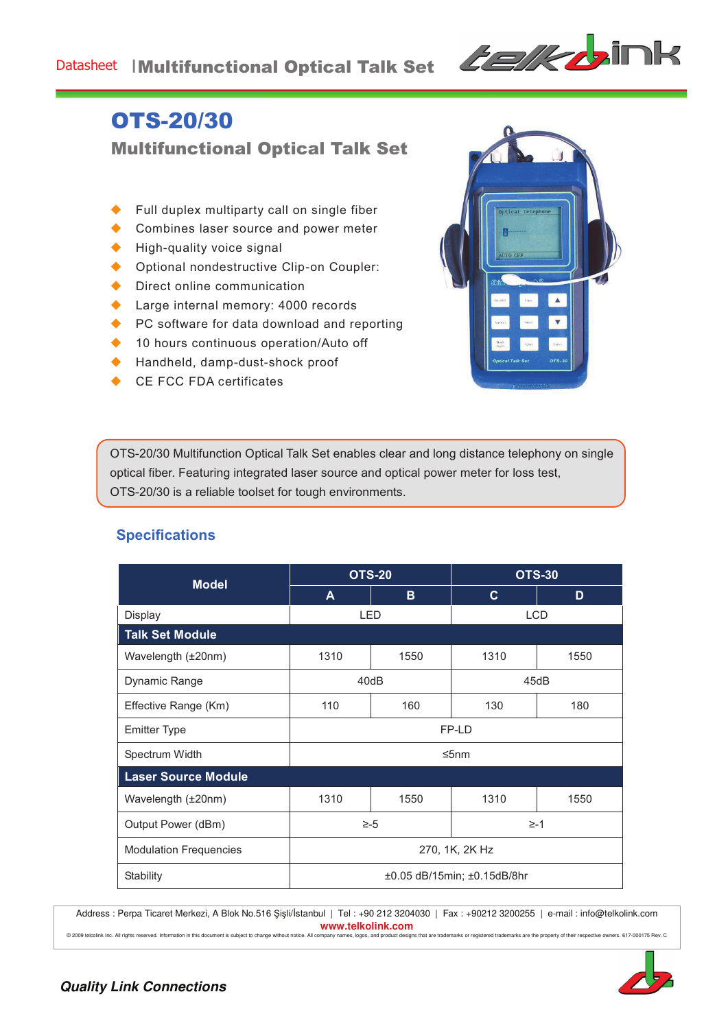## Datasheet | Multifunctional Optical Talk Set



# OTS-20/30

Multifunctional Optical Talk Set

- Full duplex multiparty call on single fiber
- Combines laser source and power meter
- High-quality voice signal
- ◆ Optional nondestructive Clip-on Coupler:
- $\blacklozenge$  Direct online communication
- ◆ Large internal memory: 4000 records
- ◆ PC software for data download and reporting
- $\triangle$  10 hours continuous operation/Auto off
- ◆ Handheld, damp-dust-shock proof
- CE FCC FDA certificates



OTS-20/30 Multifunction Optical Talk Set enables clear and long distance telephony on single optical fiber. Featuring integrated laser source and optical power meter for loss test, OTS-20/30 is a reliable toolset for tough environments.

| <b>Model</b>                  | <b>OTS-20</b>               |      | <b>OTS-30</b> |      |  |
|-------------------------------|-----------------------------|------|---------------|------|--|
|                               | A                           | B    | $\mathbf{C}$  | D    |  |
| <b>Display</b>                | <b>LED</b>                  |      | <b>LCD</b>    |      |  |
| <b>Talk Set Module</b>        |                             |      |               |      |  |
| Wavelength (±20nm)            | 1310                        | 1550 | 1310          | 1550 |  |
| Dynamic Range                 | 40dB                        |      | 45dB          |      |  |
| Effective Range (Km)          | 110                         | 160  | 130           | 180  |  |
| <b>Emitter Type</b>           | FP-LD                       |      |               |      |  |
| Spectrum Width                | ≤5nm                        |      |               |      |  |
| <b>Laser Source Module</b>    |                             |      |               |      |  |
| Wavelength (±20nm)            | 1310                        | 1550 | 1310          | 1550 |  |
| Output Power (dBm)            | $\ge -5$                    |      | $\geq -1$     |      |  |
| <b>Modulation Frequencies</b> | 270, 1K, 2K Hz              |      |               |      |  |
| Stability                     | ±0.05 dB/15min; ±0.15dB/8hr |      |               |      |  |

### **Specifications**

Address : Perpa Ticaret Merkezi, A Blok No.516 Şişli/İstanbul | Tel : +90 212 3204030 | Fax : +90212 3200255 | e-mail : info@telkolink.com **www.telkolink.com**<br>© 2009 telcolink Inc. All rights reserved. Information in this document is subject to change without notice. All company names, logos, and product designs

subsequences with the second of the fractional second the property of their respective owners. 617-000175 Rev. C<br>So, and product designs that are trademarks or registered trademarks are the property of their respective own